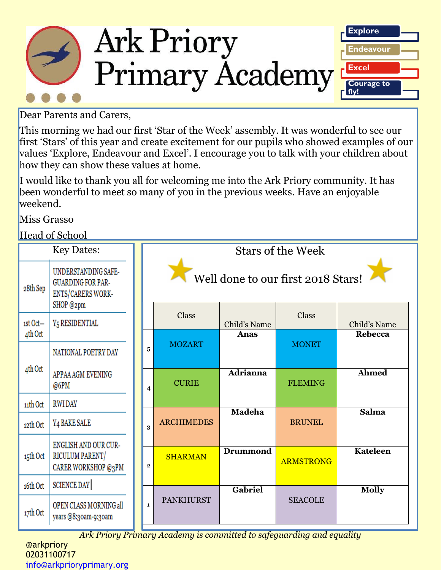

Dear Parents and Carers,

This morning we had our first 'Star of the Week' assembly. It was wonderful to see our first 'Stars' of this year and create excitement for our pupils who showed examples of our values 'Explore, Endeavour and Excel'. I encourage you to talk with your children about how they can show these values at home.

I would like to thank you all for welcoming me into the Ark Priory community. It has been wonderful to meet so many of you in the previous weeks. Have an enjoyable weekend.

Miss Grasso

Head of School

| TICAU OI DUNOOI   |                                                                                   |                                    |                                         |                 |                  |                 |
|-------------------|-----------------------------------------------------------------------------------|------------------------------------|-----------------------------------------|-----------------|------------------|-----------------|
| <b>Key Dates:</b> |                                                                                   | <b>Stars of the Week</b>           |                                         |                 |                  |                 |
| 28th Sep          | UNDERSTANDING SAFE-<br><b>GUARDING FOR PAR-</b><br>ENTS/CARERS WORK-<br>SHOP @2pm | Well done to our first 2018 Stars! |                                         |                 |                  |                 |
| ist Oct-          | <b>Y<sub>5</sub> RESIDENTIAL</b>                                                  |                                    | Class                                   | Child's Name    | Class            | Child's Name    |
| 4th Oct           |                                                                                   |                                    |                                         | Anas            |                  | <b>Rebecca</b>  |
|                   | NATIONAL POETRY DAY                                                               |                                    | <b>MOZART</b><br>5                      |                 | <b>MONET</b>     |                 |
| 4th Oct           | APPAA AGM EVENING<br>@6PM                                                         |                                    | <b>CURIE</b><br>$\overline{\mathbf{4}}$ | <b>Adrianna</b> | <b>FLEMING</b>   | <b>Ahmed</b>    |
| 11th Oct          | <b>RWIDAY</b>                                                                     |                                    |                                         |                 |                  |                 |
| 12th Oct          | <b>Y<sub>4</sub> BAKE SALE</b>                                                    |                                    | <b>ARCHIMEDES</b><br>3                  | <b>Madeha</b>   | <b>BRUNEL</b>    | Salma           |
|                   | ENGLISH AND OUR CUR-                                                              |                                    |                                         |                 |                  |                 |
| 15th Oct          | RICULUM PARENT/<br>CARER WORKSHOP @3PM                                            |                                    | <b>SHARMAN</b><br>$\mathbf{2}$          | <b>Drummond</b> | <b>ARMSTRONG</b> | <b>Kateleen</b> |
| 16th Oct          | <b>SCIENCE DAY</b>                                                                |                                    |                                         | Gabriel         |                  | <b>Molly</b>    |
| 17th Oct          | OPEN CLASS MORNING all<br>years @8:30am-9:30am                                    |                                    | <b>PANKHURST</b><br>$\mathbf{1}$        |                 | <b>SEACOLE</b>   |                 |

*Ark Priory Primary Academy is committed to safeguarding and equality* 

@arkpriory 02031100717 [info@arkprioryprimary.org](mailto:info@arkprioryprimary.org)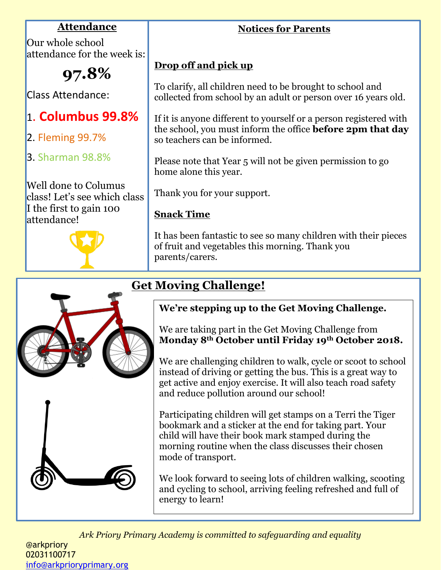## **Attendance**

Our whole school attendance for the week is:

**97.8%**

Class Attendance:

# 1. **Columbus 99.8%**

- 2. Fleming 99.7%
- 3. Sharman 98.8%

Well done to Columus class! Let's see which class I the first to gain 100 attendance!



# **Drop off and pick up**

To clarify, all children need to be brought to school and collected from school by an adult or person over 16 years old.

If it is anyone different to yourself or a person registered with the school, you must inform the office **before 2pm that day**  so teachers can be informed.

Please note that Year 5 will not be given permission to go home alone this year.

Thank you for your support.

## **Snack Time**

It has been fantastic to see so many children with their pieces of fruit and vegetables this morning. Thank you parents/carers.

# **Get Moving Challenge!**



We are taking part in the Get Moving Challenge from **Monday 8th October until Friday 19th October 2018.**

We are challenging children to walk, cycle or scoot to school instead of driving or getting the bus. This is a great way to get active and enjoy exercise. It will also teach road safety and reduce pollution around our school!

Participating children will get stamps on a Terri the Tiger bookmark and a sticker at the end for taking part. Your child will have their book mark stamped during the morning routine when the class discusses their chosen mode of transport.

We look forward to seeing lots of children walking, scooting and cycling to school, arriving feeling refreshed and full of energy to learn!

*Ark Priory Primary Academy is committed to safeguarding and equality* 



## **Notices for Parents**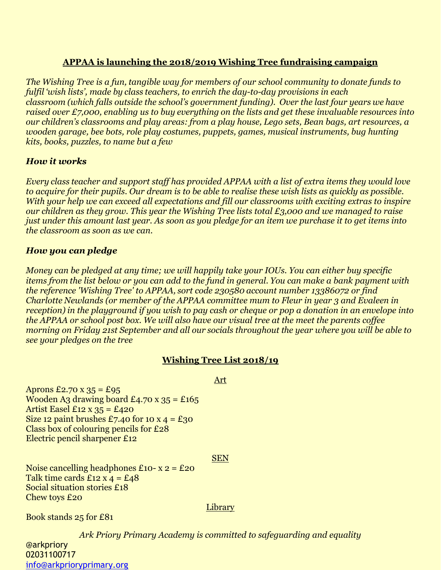## **APPAA is launching the 2018/2019 Wishing Tree fundraising campaign**

*The Wishing Tree is a fun, tangible way for members of our school community to donate funds to fulfil 'wish lists', made by class teachers, to enrich the day-to-day provisions in each classroom (which falls outside the school's government funding). Over the last four years we have raised over £7,000, enabling us to buy everything on the lists and get these invaluable resources into our children's classrooms and play areas: from a play house, Lego sets, Bean bags, art resources, a wooden garage, bee bots, role play costumes, puppets, games, musical instruments, bug hunting kits, books, puzzles, to name but a few*

## *How it works*

*Every class teacher and support staff has provided APPAA with a list of extra items they would love to acquire for their pupils. Our dream is to be able to realise these wish lists as quickly as possible. With your help we can exceed all expectations and fill our classrooms with exciting extras to inspire our children as they grow. This year the Wishing Tree lists total £3,000 and we managed to raise just under this amount last year. As soon as you pledge for an item we purchase it to get items into the classroom as soon as we can.*

## *How you can pledge*

*Money can be pledged at any time; we will happily take your IOUs. You can either buy specific items from the list below or you can add to the fund in general. You can make a bank payment with the reference 'Wishing Tree' to APPAA, sort code 230580 account number 13386072 or find Charlotte Newlands (or member of the APPAA committee mum to Fleur in year 3 and Evaleen in reception) in the playground if you wish to pay cash or cheque or pop a donation in an envelope into the APPAA or school post box. We will also have our visual tree at the meet the parents coffee morning on Friday 21st September and all our socials throughout the year where you will be able to see your pledges on the tree*

## **Wishing Tree List 2018/19**

Art

Aprons  $\text{\textsterling}2.70 \text{ X } 35 = \text{\textsterling}95$ Wooden A3 drawing board £4.70 x  $35 = £165$ Artist Easel  $£12 \times 35 = £420$ Size 12 paint brushes £7.40 for 10 x  $4 = £30$ Class box of colouring pencils for £28 Electric pencil sharpener £12

### **SEN**

Noise cancelling headphones  $£10 - x = £20$ Talk time cards  $\pounds$ 12 x 4 =  $\pounds$ 48 Social situation stories £18 Chew toys £20

**Library** 

Book stands 25 for £81

*Ark Priory Primary Academy is committed to safeguarding and equality*  @arkpriory 02031100717 [info@arkprioryprimary.org](mailto:info@arkprioryprimary.org)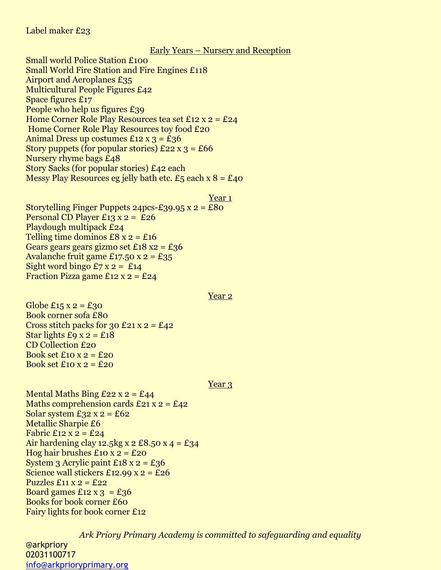### Label maker £23

#### Early Years – Nursery and Reception

Small world Police Station £100 Small World Fire Station and Fire Engines £118 Airport and Aeroplanes £35 Multicultural People Figures £42 Space figures £17 People who help us figures £39 Home Corner Role Play Resources tea set £12 x 2 = £24 Home Corner Role Play Resources toy food £20 Animal Dress up costumes  $£12 \times 3 = £36$ Story puppets (for popular stories)  $£22 \times 3 = £66$ Nursery rhyme bags £48 Story Sacks (for popular stories) £42 each Messy Play Resources eg jelly bath etc.  $\pounds_5$  each x  $8 = \pounds_4$ o

#### Year 1

Storytelling Finger Puppets 24pcs-£39.95  $x = £80$ Personal CD Player £13  $x = 26$ Playdough multipack £24 Telling time dominos  $£8 x 2 = £16$ Gears gears gears gizmo set £18 x2 = £36 Avalanche fruit game £17.50 x 2 = £35 Sight word bingo  $\text{\textsterling}7$  x 2 =  $\text{\textsterling}14$ Fraction Pizza game  $£12 \times 2 = £24$ 

#### Year 2

Globe £15 x 2 = £30 Book corner sofa £80 Cross stitch packs for 30 £21 x  $2 = \text{\textsterling}42$ Star lights  $\text{\textsterling}9$  x 2 =  $\text{\textsterling}18$ CD Collection £20 Book set  $£10 \times 2 = £20$ Book set  $£10 \times 2 = £20$ 

#### Year 3

Mental Maths Bing  $£22 \times 2 = £44$ Maths comprehension cards  $£21 x 2 = £42$ Solar system  $\text{\textsterling}32 \text{ x } 2 = \text{\textsterling}62$ Metallic Sharpie £6 Fabric  $\text{\textsterling}12 \text{ x } 2 = \text{\textsterling}24$ Air hardening clay 12.5 kg x 2 £8.50 x 4 = £34 Hog hair brushes  $£10 \times 2 = £20$ System 3 Acrylic paint  $£18 \times 2 = £36$ Science wall stickers £12.99  $x = 26$ Puzzles  $\pounds$ 11 x 2 =  $\pounds$ 22 Board games  $£12 \times 3 = £36$ Books for book corner £60 Fairy lights for book corner £12

*Ark Priory Primary Academy is committed to safeguarding and equality*  @arkpriory 02031100717 [info@arkprioryprimary.org](mailto:info@arkprioryprimary.org)